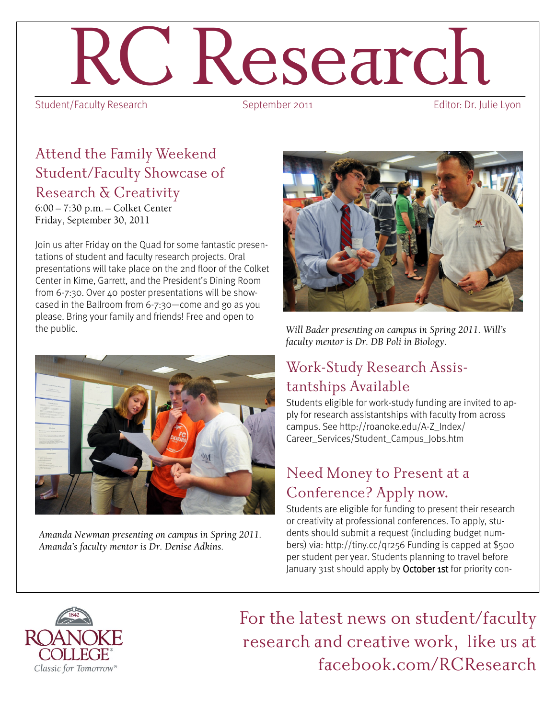# Research<br>Ity Research<br>September 2011

Student/Faculty Research

#### Attend the Family Weekend Student/Faculty Showcase of Research & Creativity

6:00 - 7:30 p.m. - Colket Center Friday, September 30, 2011

Join us after Friday on the Quad for some fantastic presentations of student and faculty research projects. Oral presentations will take place on the 2nd floor of the Colket Center in Kime, Garrett, and the President's Dining Room from 6-7:30. Over 40 poster presentations will be showcased in the Ballroom from 6-7:30—come and go as you please. Bring your family and friends! Free and open to the public.



Amanda Newman presenting on campus in Spring 2011. Amanda's faculty mentor is Dr. Denise Adkins.



Will Bader presenting on campus in Spring 2011. Will's faculty mentor is Dr. DB Poli in Biology.

### Work-Study Research Assistantships Available

Students eligible for work-study funding are invited to apply for research assistantships with faculty from across campus. See http://roanoke.edu/A-Z\_Index/ Career\_Services/Student\_Campus\_Jobs.htm

#### Need Money to Present at a Conference? Apply now.

Students are eligible for funding to present their research or creativity at professional conferences. To apply, students should submit a request (including budget numbers) via: http://tiny.cc/qr256 Funding is capped at \$500 per student per year. Students planning to travel before January 31st should apply by October 1st for priority con-



For the latest news on student/faculty research and creative work, like us at facebook.com/RCResearch